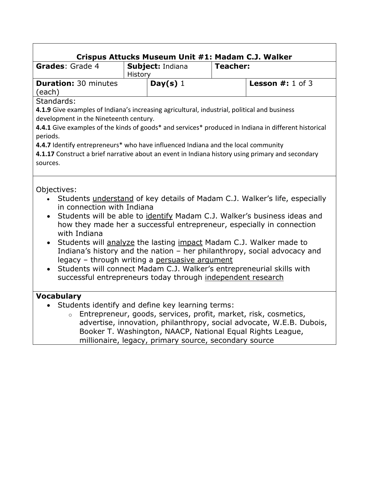| <b>Grades: Grade 4</b>                                    | Subject: Indiana                                                                                              | <b>Teacher:</b>                                                                                                                                                                                                                                                                                                                                                                                                                                            |
|-----------------------------------------------------------|---------------------------------------------------------------------------------------------------------------|------------------------------------------------------------------------------------------------------------------------------------------------------------------------------------------------------------------------------------------------------------------------------------------------------------------------------------------------------------------------------------------------------------------------------------------------------------|
|                                                           |                                                                                                               |                                                                                                                                                                                                                                                                                                                                                                                                                                                            |
| <b>Duration: 30 minutes</b><br>(each)                     | Day(s) $1$                                                                                                    | <b>Lesson #:</b> 1 of 3                                                                                                                                                                                                                                                                                                                                                                                                                                    |
| Standards:                                                |                                                                                                               |                                                                                                                                                                                                                                                                                                                                                                                                                                                            |
|                                                           |                                                                                                               | 4.1.9 Give examples of Indiana's increasing agricultural, industrial, political and business                                                                                                                                                                                                                                                                                                                                                               |
| development in the Nineteenth century.                    |                                                                                                               |                                                                                                                                                                                                                                                                                                                                                                                                                                                            |
|                                                           |                                                                                                               | 4.4.1 Give examples of the kinds of goods* and services* produced in Indiana in different historical                                                                                                                                                                                                                                                                                                                                                       |
| periods.                                                  |                                                                                                               |                                                                                                                                                                                                                                                                                                                                                                                                                                                            |
|                                                           | 4.4.7 Identify entrepreneurs* who have influenced Indiana and the local community                             |                                                                                                                                                                                                                                                                                                                                                                                                                                                            |
|                                                           |                                                                                                               | 4.1.17 Construct a brief narrative about an event in Indiana history using primary and secondary                                                                                                                                                                                                                                                                                                                                                           |
| sources.                                                  |                                                                                                               |                                                                                                                                                                                                                                                                                                                                                                                                                                                            |
| Objectives:<br>in connection with Indiana<br>with Indiana | legacy - through writing a persuasive argument<br>successful entrepreneurs today through independent research | Students understand of key details of Madam C.J. Walker's life, especially<br>Students will be able to identify Madam C.J. Walker's business ideas and<br>how they made her a successful entrepreneur, especially in connection<br>Students will analyze the lasting impact Madam C.J. Walker made to<br>Indiana's history and the nation - her philanthropy, social advocacy and<br>Students will connect Madam C.J. Walker's entrepreneurial skills with |
|                                                           |                                                                                                               |                                                                                                                                                                                                                                                                                                                                                                                                                                                            |
|                                                           |                                                                                                               |                                                                                                                                                                                                                                                                                                                                                                                                                                                            |
|                                                           | • Students identify and define key learning terms:                                                            |                                                                                                                                                                                                                                                                                                                                                                                                                                                            |
|                                                           |                                                                                                               | Entrepreneur, goods, services, profit, market, risk, cosmetics,                                                                                                                                                                                                                                                                                                                                                                                            |
| <b>Vocabulary</b>                                         |                                                                                                               | advertise, innovation, philanthropy, social advocate, W.E.B. Dubois,<br>Booker T. Washington, NAACP, National Equal Rights League,                                                                                                                                                                                                                                                                                                                         |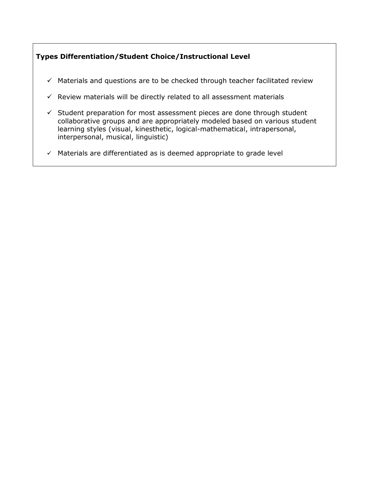### **Types Differentiation/Student Choice/Instructional Level**

- $\checkmark$  Materials and questions are to be checked through teacher facilitated review
- $\checkmark$  Review materials will be directly related to all assessment materials
- $\checkmark$  Student preparation for most assessment pieces are done through student collaborative groups and are appropriately modeled based on various student learning styles (visual, kinesthetic, logical-mathematical, intrapersonal, interpersonal, musical, linguistic)
- $\checkmark$  Materials are differentiated as is deemed appropriate to grade level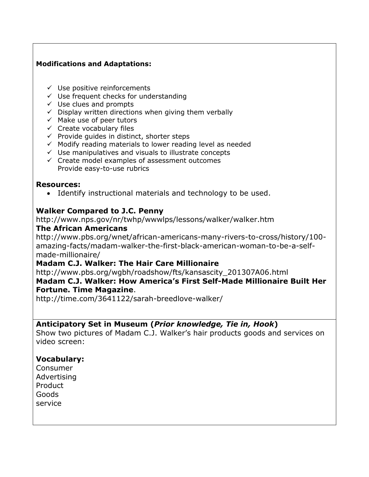#### **Modifications and Adaptations:**

- $\checkmark$  Use positive reinforcements
- $\checkmark$  Use frequent checks for understanding
- $\checkmark$  Use clues and prompts
- $\checkmark$  Display written directions when giving them verbally
- $\checkmark$  Make use of peer tutors
- $\checkmark$  Create vocabulary files
- $\checkmark$  Provide quides in distinct, shorter steps
- $\checkmark$  Modify reading materials to lower reading level as needed
- $\checkmark$  Use manipulatives and visuals to illustrate concepts
- $\checkmark$  Create model examples of assessment outcomes Provide easy-to-use rubrics

#### **Resources:**

Identify instructional materials and technology to be used.

### **Walker Compared to J.C. Penny**

http://www.nps.gov/nr/twhp/wwwlps/lessons/walker/walker.htm

#### **The African Americans**

http://www.pbs.org/wnet/african-americans-many-rivers-to-cross/history/100 amazing-facts/madam-walker-the-first-black-american-woman-to-be-a-selfmade-millionaire/

### **Madam C.J. Walker: The Hair Care Millionaire**

http://www.pbs.org/wgbh/roadshow/fts/kansascity\_201307A06.html **Madam C.J. Walker: How America's First Self-Made Millionaire Built Her Fortune. Time Magazine**.

http://time.com/3641122/sarah-breedlove-walker/

### **Anticipatory Set in Museum (***Prior knowledge, Tie in, Hook***)**

Show two pictures of Madam C.J. Walker's hair products goods and services on video screen:

### **Vocabulary:**

Consumer Advertising Product Goods service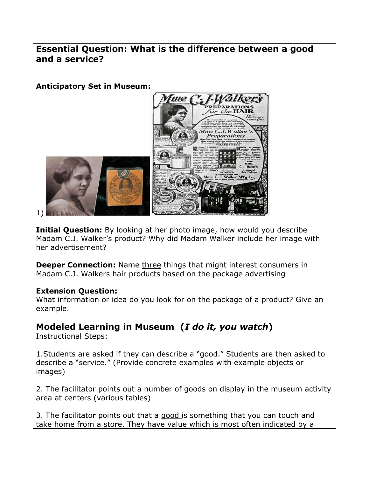### **Essential Question: What is the difference between a good and a service?**

**Anticipatory Set in Museum:**



1)

**Initial Question:** By looking at her photo image, how would you describe Madam C.J. Walker's product? Why did Madam Walker include her image with her advertisement?

**Deeper Connection:** Name three things that might interest consumers in Madam C.J. Walkers hair products based on the package advertising

### **Extension Question:**

What information or idea do you look for on the package of a product? Give an example.

## **Modeled Learning in Museum (***I do it, you watch***)**

Instructional Steps:

1.Students are asked if they can describe a "good." Students are then asked to describe a "service." (Provide concrete examples with example objects or images)

2. The facilitator points out a number of goods on display in the museum activity area at centers (various tables)

3. The facilitator points out that a good is something that you can touch and take home from a store. They have value which is most often indicated by a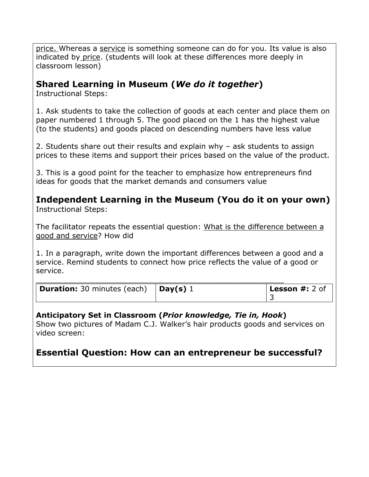price. Whereas a service is something someone can do for you. Its value is also indicated by price. (students will look at these differences more deeply in classroom lesson)

### **Shared Learning in Museum (***We do it together***)**

Instructional Steps:

1. Ask students to take the collection of goods at each center and place them on paper numbered 1 through 5. The good placed on the 1 has the highest value (to the students) and goods placed on descending numbers have less value

2. Students share out their results and explain why – ask students to assign prices to these items and support their prices based on the value of the product.

3. This is a good point for the teacher to emphasize how entrepreneurs find ideas for goods that the market demands and consumers value

**Independent Learning in the Museum (You do it on your own)** Instructional Steps:

The facilitator repeats the essential question: What is the difference between a good and service? How did

1. In a paragraph, write down the important differences between a good and a service. Remind students to connect how price reflects the value of a good or service.

| <b>Duration:</b> 30 minutes (each) $\vert$ <b>Day(s)</b> 1 | <b>Lesson <math>#: 2</math> of</b> |
|------------------------------------------------------------|------------------------------------|

### **Anticipatory Set in Classroom (***Prior knowledge, Tie in, Hook***)**

Show two pictures of Madam C.J. Walker's hair products goods and services on video screen:

### **Essential Question: How can an entrepreneur be successful?**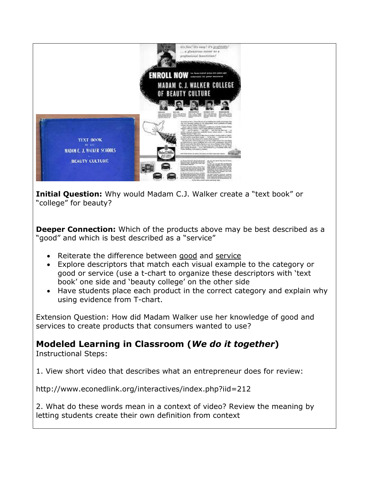

**Initial Question:** Why would Madam C.J. Walker create a "text book" or "college" for beauty?

**Deeper Connection:** Which of the products above may be best described as a "good" and which is best described as a "service"

- Reiterate the difference between good and service
- Explore descriptors that match each visual example to the category or good or service (use a t-chart to organize these descriptors with 'text book' one side and 'beauty college' on the other side
- Have students place each product in the correct category and explain why using evidence from T-chart.

Extension Question: How did Madam Walker use her knowledge of good and services to create products that consumers wanted to use?

**Modeled Learning in Classroom (***We do it together***)**

Instructional Steps:

1. View short video that describes what an entrepreneur does for review:

http://www.econedlink.org/interactives/index.php?iid=212

2. What do these words mean in a context of video? Review the meaning by letting students create their own definition from context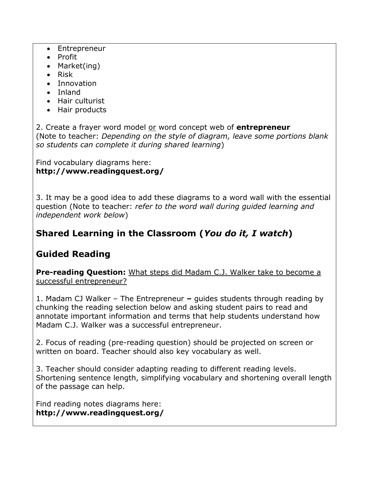- Entrepreneur
- Profit
- Market(ing)
- $\bullet$  Risk
- Innovation
- Inland
- Hair culturist
- Hair products

2. Create a frayer word model or word concept web of **entrepreneur** (Note to teacher: *Depending on the style of diagram, leave some portions blank so students can complete it during shared learning*)

#### Find vocabulary diagrams here: **http://www.readingquest.org/**

3. It may be a good idea to add these diagrams to a word wall with the essential question (Note to teacher: *refer to the word wall during guided learning and independent work below*)

## **Shared Learning in the Classroom (***You do it, I watch***)**

## **Guided Reading**

**Pre-reading Question:** What steps did Madam C.J. Walker take to become a successful entrepreneur?

1. Madam CJ Walker – The Entrepreneur **–** guides students through reading by chunking the reading selection below and asking student pairs to read and annotate important information and terms that help students understand how Madam C.J. Walker was a successful entrepreneur.

2. Focus of reading (pre-reading question) should be projected on screen or written on board. Teacher should also key vocabulary as well.

3. Teacher should consider adapting reading to different reading levels. Shortening sentence length, simplifying vocabulary and shortening overall length of the passage can help.

Find reading notes diagrams here: **http://www.readingquest.org/**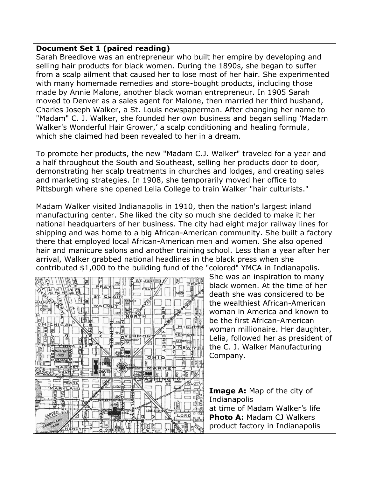#### **Document Set 1 (paired reading)**

Sarah Breedlove was an entrepreneur who built her empire by developing and selling hair products for black women. During the 1890s, she began to suffer from a scalp ailment that caused her to lose most of her hair. She experimented with many homemade remedies and store-bought products, including those made by Annie Malone, another black woman entrepreneur. In 1905 Sarah moved to Denver as a sales agent for Malone, then married her third husband, Charles Joseph Walker, a St. Louis newspaperman. After changing her name to "Madam" C. J. Walker, she founded her own business and began selling 'Madam Walker's Wonderful Hair Grower,' a scalp conditioning and healing formula, which she claimed had been revealed to her in a dream.

To promote her products, the new "Madam C.J. Walker" traveled for a year and a half throughout the South and Southeast, selling her products door to door, demonstrating her scalp treatments in churches and lodges, and creating sales and marketing strategies. In 1908, she temporarily moved her office to Pittsburgh where she opened Lelia College to train Walker "hair culturists."

Madam Walker visited Indianapolis in 1910, then the nation's largest inland manufacturing center. She liked the city so much she decided to make it her national headquarters of her business. The city had eight major railway lines for shipping and was home to a big African-American community. She built a factory there that employed local African-American men and women. She also opened hair and manicure salons and another training school. Less than a year after her arrival, Walker grabbed national headlines in the black press when she contributed \$1,000 to the building fund of the "colored" YMCA in Indianapolis.



She was an inspiration to many black women. At the time of her death she was considered to be the wealthiest African-American woman in America and known to be the first African-American woman millionaire. Her daughter, Lelia, followed her as president of the C. J. Walker Manufacturing Company.

**Image A:** Map of the city of Indianapolis at time of Madam Walker's life **Photo A:** Madam CJ Walkers product factory in Indianapolis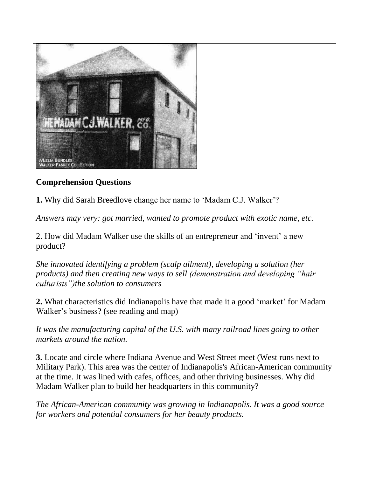

### **Comprehension Questions**

**1.** Why did Sarah Breedlove change her name to 'Madam C.J. Walker'?

*Answers may very: got married, wanted to promote product with exotic name, etc.*

2. How did Madam Walker use the skills of an entrepreneur and 'invent' a new product?

*She innovated identifying a problem (scalp ailment), developing a solution (her products) and then creating new ways to sell (demonstration and developing "hair culturists")the solution to consumers*

**2.** What characteristics did Indianapolis have that made it a good 'market' for Madam Walker's business? (see reading and map)

*It was the manufacturing capital of the U.S. with many railroad lines going to other markets around the nation.*

**3.** Locate and circle where Indiana Avenue and West Street meet (West runs next to Military Park). This area was the center of Indianapolis's African-American community at the time. It was lined with cafes, offices, and other thriving businesses. Why did Madam Walker plan to build her headquarters in this community?

*The African-American community was growing in Indianapolis. It was a good source for workers and potential consumers for her beauty products.*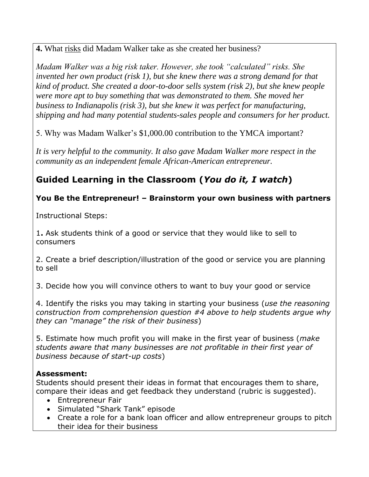**4.** What risks did Madam Walker take as she created her business?

*Madam Walker was a big risk taker. However, she took "calculated" risks. She invented her own product (risk 1), but she knew there was a strong demand for that kind of product. She created a door-to-door sells system (risk 2), but she knew people were more apt to buy something that was demonstrated to them. She moved her business to Indianapolis (risk 3), but she knew it was perfect for manufacturing, shipping and had many potential students-sales people and consumers for her product.*

5. Why was Madam Walker's \$1,000.00 contribution to the YMCA important?

*It is very helpful to the community. It also gave Madam Walker more respect in the community as an independent female African-American entrepreneur.* 

## **Guided Learning in the Classroom (***You do it, I watch***)**

### **You Be the Entrepreneur! – Brainstorm your own business with partners**

Instructional Steps:

1**.** Ask students think of a good or service that they would like to sell to consumers

2. Create a brief description/illustration of the good or service you are planning to sell

3. Decide how you will convince others to want to buy your good or service

4. Identify the risks you may taking in starting your business (*use the reasoning construction from comprehension question #4 above to help students argue why they can "manage" the risk of their business*)

5. Estimate how much profit you will make in the first year of business (*make students aware that many businesses are not profitable in their first year of business because of start-up costs*)

### **Assessment:**

Students should present their ideas in format that encourages them to share, compare their ideas and get feedback they understand (rubric is suggested).

- Entrepreneur Fair
- Simulated "Shark Tank" episode
- Create a role for a bank loan officer and allow entrepreneur groups to pitch their idea for their business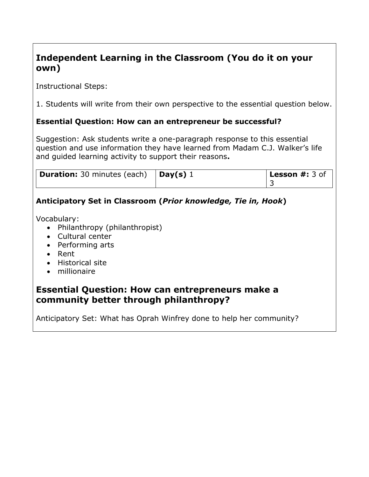## **Independent Learning in the Classroom (You do it on your own)**

Instructional Steps:

1. Students will write from their own perspective to the essential question below.

### **Essential Question: How can an entrepreneur be successful?**

Suggestion: Ask students write a one-paragraph response to this essential question and use information they have learned from Madam C.J. Walker's life and guided learning activity to support their reasons**.**

| <b>Duration:</b> 30 minutes (each) $\vert$ <b>Day(s)</b> 1 | <b>Lesson #:</b> 3 of |
|------------------------------------------------------------|-----------------------|
|                                                            |                       |

### **Anticipatory Set in Classroom (***Prior knowledge, Tie in, Hook***)**

Vocabulary:

- Philanthropy (philanthropist)
- Cultural center
- Performing arts
- Rent
- Historical site
- millionaire

### **Essential Question: How can entrepreneurs make a community better through philanthropy?**

Anticipatory Set: What has Oprah Winfrey done to help her community?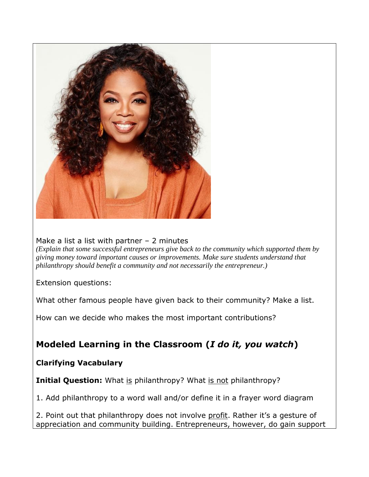

Make a list a list with partner  $-2$  minutes

*(Explain that some successful entrepreneurs give back to the community which supported them by giving money toward important causes or improvements. Make sure students understand that philanthropy should benefit a community and not necessarily the entrepreneur.)*

Extension questions:

What other famous people have given back to their community? Make a list.

How can we decide who makes the most important contributions?

## **Modeled Learning in the Classroom (***I do it, you watch***)**

### **Clarifying Vacabulary**

**Initial Question:** What is philanthropy? What is not philanthropy?

1. Add philanthropy to a word wall and/or define it in a frayer word diagram

2. Point out that philanthropy does not involve profit. Rather it's a gesture of appreciation and community building. Entrepreneurs, however, do gain support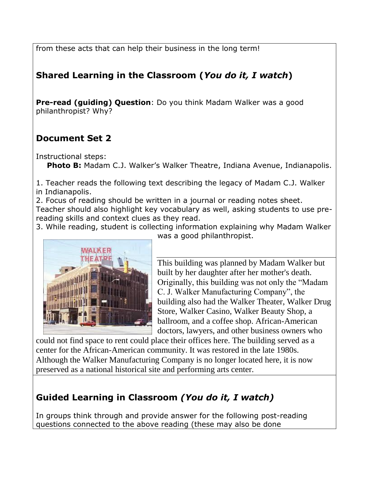from these acts that can help their business in the long term!

## **Shared Learning in the Classroom (***You do it, I watch***)**

**Pre-read (guiding) Question**: Do you think Madam Walker was a good philanthropist? Why?

## **Document Set 2**

Instructional steps:

Photo B: Madam C.J. Walker's Walker Theatre, Indiana Avenue, Indianapolis.

1. Teacher reads the following text describing the legacy of Madam C.J. Walker in Indianapolis.

2. Focus of reading should be written in a journal or reading notes sheet. Teacher should also highlight key vocabulary as well, asking students to use prereading skills and context clues as they read.

3. While reading, student is collecting information explaining why Madam Walker was a good philanthropist.



This building was planned by Madam Walker but built by her daughter after her mother's death. Originally, this building was not only the "Madam C. J. Walker Manufacturing Company", the building also had the Walker Theater, Walker Drug Store, Walker Casino, Walker Beauty Shop, a ballroom, and a coffee shop. African-American doctors, lawyers, and other business owners who

could not find space to rent could place their offices here. The building served as a center for the African-American community. It was restored in the late 1980s. Although the Walker Manufacturing Company is no longer located here, it is now preserved as a national historical site and performing arts center.

# **Guided Learning in Classroom** *(You do it, I watch)*

In groups think through and provide answer for the following post-reading questions connected to the above reading (these may also be done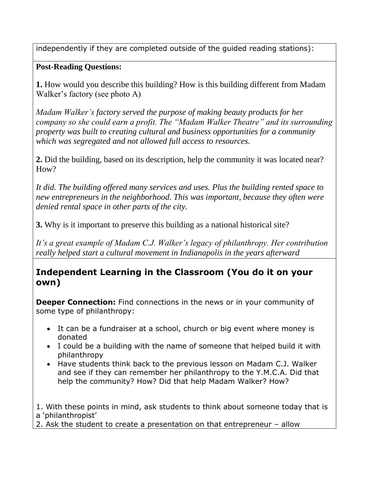independently if they are completed outside of the guided reading stations):

### **Post-Reading Questions:**

**1.** How would you describe this building? How is this building different from Madam Walker's factory (see photo A)

*Madam Walker's factory served the purpose of making beauty products for her company so she could earn a profit. The "Madam Walker Theatre" and its surrounding property was built to creating cultural and business opportunities for a community which was segregated and not allowed full access to resources.*

**2.** Did the building, based on its description, help the community it was located near? How?

*It did. The building offered many services and uses. Plus the building rented space to new entrepreneurs in the neighborhood. This was important, because they often were denied rental space in other parts of the city.*

**3.** Why is it important to preserve this building as a national historical site?

*It's a great example of Madam C.J. Walker's legacy of philanthropy. Her contribution really helped start a cultural movement in Indianapolis in the years afterward*

### **Independent Learning in the Classroom (You do it on your own)**

**Deeper Connection:** Find connections in the news or in your community of some type of philanthropy:

- It can be a fundraiser at a school, church or big event where money is donated
- I could be a building with the name of someone that helped build it with philanthropy
- Have students think back to the previous lesson on Madam C.J. Walker and see if they can remember her philanthropy to the Y.M.C.A. Did that help the community? How? Did that help Madam Walker? How?

1. With these points in mind, ask students to think about someone today that is a 'philanthropist'

2. Ask the student to create a presentation on that entrepreneur – allow